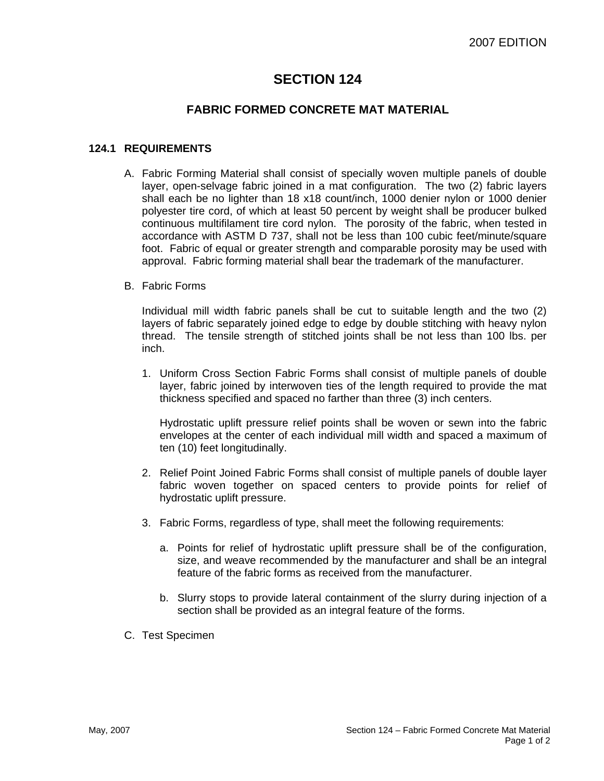# **SECTION 124**

### **FABRIC FORMED CONCRETE MAT MATERIAL**

### **124.1 REQUIREMENTS**

- A. Fabric Forming Material shall consist of specially woven multiple panels of double layer, open-selvage fabric joined in a mat configuration. The two (2) fabric layers shall each be no lighter than 18 x18 count/inch, 1000 denier nylon or 1000 denier polyester tire cord, of which at least 50 percent by weight shall be producer bulked continuous multifilament tire cord nylon. The porosity of the fabric, when tested in accordance with ASTM D 737, shall not be less than 100 cubic feet/minute/square foot. Fabric of equal or greater strength and comparable porosity may be used with approval. Fabric forming material shall bear the trademark of the manufacturer.
- B. Fabric Forms

Individual mill width fabric panels shall be cut to suitable length and the two (2) layers of fabric separately joined edge to edge by double stitching with heavy nylon thread. The tensile strength of stitched joints shall be not less than 100 lbs. per inch.

1. Uniform Cross Section Fabric Forms shall consist of multiple panels of double layer, fabric joined by interwoven ties of the length required to provide the mat thickness specified and spaced no farther than three (3) inch centers.

Hydrostatic uplift pressure relief points shall be woven or sewn into the fabric envelopes at the center of each individual mill width and spaced a maximum of ten (10) feet longitudinally.

- 2. Relief Point Joined Fabric Forms shall consist of multiple panels of double layer fabric woven together on spaced centers to provide points for relief of hydrostatic uplift pressure.
- 3. Fabric Forms, regardless of type, shall meet the following requirements:
	- a. Points for relief of hydrostatic uplift pressure shall be of the configuration, size, and weave recommended by the manufacturer and shall be an integral feature of the fabric forms as received from the manufacturer.
	- b. Slurry stops to provide lateral containment of the slurry during injection of a section shall be provided as an integral feature of the forms.
- C. Test Specimen